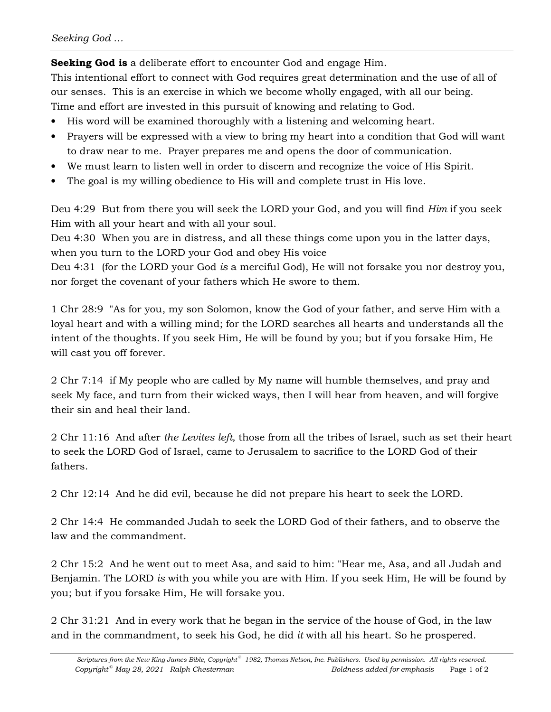**Seeking God is** a deliberate effort to encounter God and engage Him.

This intentional effort to connect with God requires great determination and the use of all of our senses. This is an exercise in which we become wholly engaged, with all our being. Time and effort are invested in this pursuit of knowing and relating to God.

- His word will be examined thoroughly with a listening and welcoming heart.
- Prayers will be expressed with a view to bring my heart into a condition that God will want to draw near to me. Prayer prepares me and opens the door of communication.
- We must learn to listen well in order to discern and recognize the voice of His Spirit.
- The goal is my willing obedience to His will and complete trust in His love.

Deu 4:29 But from there you will seek the LORD your God, and you will find *Him* if you seek Him with all your heart and with all your soul.

Deu 4:30 When you are in distress, and all these things come upon you in the latter days, when you turn to the LORD your God and obey His voice

Deu 4:31 (for the LORD your God *is* a merciful God), He will not forsake you nor destroy you, nor forget the covenant of your fathers which He swore to them.

1 Chr 28:9 "As for you, my son Solomon, know the God of your father, and serve Him with a loyal heart and with a willing mind; for the LORD searches all hearts and understands all the intent of the thoughts. If you seek Him, He will be found by you; but if you forsake Him, He will cast you off forever.

2 Chr 7:14 if My people who are called by My name will humble themselves, and pray and seek My face, and turn from their wicked ways, then I will hear from heaven, and will forgive their sin and heal their land.

2 Chr 11:16 And after *the Levites left,* those from all the tribes of Israel, such as set their heart to seek the LORD God of Israel, came to Jerusalem to sacrifice to the LORD God of their fathers.

2 Chr 12:14 And he did evil, because he did not prepare his heart to seek the LORD.

2 Chr 14:4 He commanded Judah to seek the LORD God of their fathers, and to observe the law and the commandment.

2 Chr 15:2 And he went out to meet Asa, and said to him: "Hear me, Asa, and all Judah and Benjamin. The LORD *is* with you while you are with Him. If you seek Him, He will be found by you; but if you forsake Him, He will forsake you.

2 Chr 31:21 And in every work that he began in the service of the house of God, in the law and in the commandment, to seek his God, he did *it* with all his heart. So he prospered.